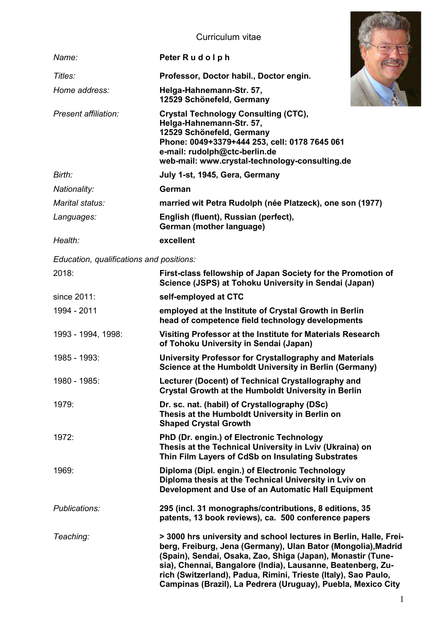## Curriculum vitae

|                                          | Curriculum vitae                                                                                                                                                                                                                                                                                                                                                                                   |
|------------------------------------------|----------------------------------------------------------------------------------------------------------------------------------------------------------------------------------------------------------------------------------------------------------------------------------------------------------------------------------------------------------------------------------------------------|
| Name:                                    | Peter Rudolph                                                                                                                                                                                                                                                                                                                                                                                      |
| Titles:                                  | Professor, Doctor habil., Doctor engin.                                                                                                                                                                                                                                                                                                                                                            |
| Home address:                            | Helga-Hahnemann-Str. 57,<br>12529 Schönefeld, Germany                                                                                                                                                                                                                                                                                                                                              |
| Present affiliation:                     | <b>Crystal Technology Consulting (CTC),</b><br>Helga-Hahnemann-Str. 57,<br>12529 Schönefeld, Germany<br>Phone: 0049+3379+444 253, cell: 0178 7645 061<br>e-mail: rudolph@ctc-berlin.de<br>web-mail: www.crystal-technology-consulting.de                                                                                                                                                           |
| Birth:                                   | July 1-st, 1945, Gera, Germany                                                                                                                                                                                                                                                                                                                                                                     |
| Nationality:                             | German                                                                                                                                                                                                                                                                                                                                                                                             |
| Marital status:                          | married wit Petra Rudolph (née Platzeck), one son (1977)                                                                                                                                                                                                                                                                                                                                           |
| Languages:                               | English (fluent), Russian (perfect),<br>German (mother language)                                                                                                                                                                                                                                                                                                                                   |
| Health:                                  | excellent                                                                                                                                                                                                                                                                                                                                                                                          |
| Education, qualifications and positions: |                                                                                                                                                                                                                                                                                                                                                                                                    |
| 2018:                                    | First-class fellowship of Japan Society for the Promotion of<br>Science (JSPS) at Tohoku University in Sendai (Japan)                                                                                                                                                                                                                                                                              |
| since 2011:                              | self-employed at CTC                                                                                                                                                                                                                                                                                                                                                                               |
| 1994 - 2011                              | employed at the Institute of Crystal Growth in Berlin<br>head of competence field technology developments                                                                                                                                                                                                                                                                                          |
| 1993 - 1994, 1998:                       | Visiting Professor at the Institute for Materials Research<br>of Tohoku University in Sendai (Japan)                                                                                                                                                                                                                                                                                               |
| 1985 - 1993:                             | University Professor for Crystallography and Materials<br>Science at the Humboldt University in Berlin (Germany)                                                                                                                                                                                                                                                                                   |
| 1980 - 1985:                             | Lecturer (Docent) of Technical Crystallography and<br><b>Crystal Growth at the Humboldt University in Berlin</b>                                                                                                                                                                                                                                                                                   |
| 1979:                                    | Dr. sc. nat. (habil) of Crystallography (DSc)<br>Thesis at the Humboldt University in Berlin on<br><b>Shaped Crystal Growth</b>                                                                                                                                                                                                                                                                    |
| 1972:                                    | PhD (Dr. engin.) of Electronic Technology<br>Thesis at the Technical University in Lviv (Ukraina) on<br>Thin Film Layers of CdSb on Insulating Substrates                                                                                                                                                                                                                                          |
| 1969:                                    | Diploma (Dipl. engin.) of Electronic Technology<br>Diploma thesis at the Technical University in Lviv on<br>Development and Use of an Automatic Hall Equipment                                                                                                                                                                                                                                     |
| Publications:                            | 295 (incl. 31 monographs/contributions, 8 editions, 35<br>patents, 13 book reviews), ca. 500 conference papers                                                                                                                                                                                                                                                                                     |
| Teaching:                                | > 3000 hrs university and school lectures in Berlin, Halle, Frei-<br>berg, Freiburg, Jena (Germany), Ulan Bator (Mongolia), Madrid<br>(Spain), Sendai, Osaka, Zao, Shiga (Japan), Monastir (Tune-<br>sia), Chennai, Bangalore (India), Lausanne, Beatenberg, Zu-<br>rich (Switzerland), Padua, Rimini, Trieste (Italy), Sao Paulo,<br>Campinas (Brazil), La Pedrera (Uruguay), Puebla, Mexico City |